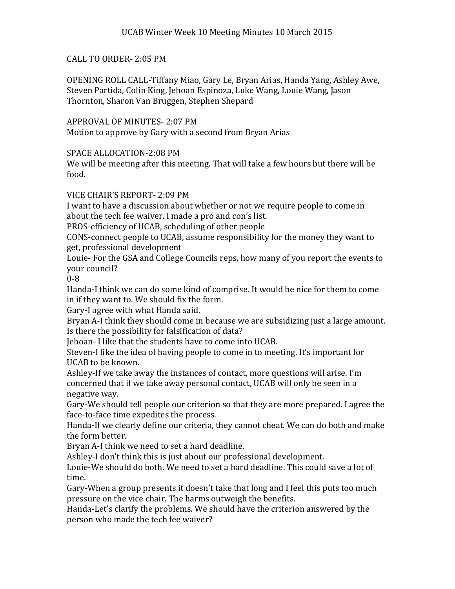## CALL TO ORDER- 2:05 PM

OPENING ROLL CALL-Tiffany Miao, Gary Le, Bryan Arias, Handa Yang, Ashley Awe, Steven Partida, Colin King, Jehoan Espinoza, Luke Wang, Louie Wang, Jason Thornton, Sharon Van Bruggen, Stephen Shepard

APPROVAL OF MINUTES- 2:07 PM Motion to approve by Gary with a second from Bryan Arias

SPACE ALLOCATION-2:08 PM

We will be meeting after this meeting. That will take a few hours but there will be food.

VICE CHAIR'S REPORT- 2:09 PM

I want to have a discussion about whether or not we require people to come in about the tech fee waiver. I made a pro and con's list.

PROS-efficiency of UCAB, scheduling of other people

CONS-connect people to UCAB, assume responsibility for the money they want to get, professional development

Louie- For the GSA and College Councils reps, how many of you report the events to your council?

0-8

Handa-I think we can do some kind of comprise. It would be nice for them to come in if they want to. We should fix the form.

Gary-I agree with what Handa said.

Bryan A-I think they should come in because we are subsidizing just a large amount. Is there the possibility for falsification of data?

Jehoan- I like that the students have to come into UCAB.

Steven-I like the idea of having people to come in to meeting. It's important for UCAB to be known.

Ashley-If we take away the instances of contact, more questions will arise. I'm concerned that if we take away personal contact, UCAB will only be seen in a negative way.

Gary-We should tell people our criterion so that they are more prepared. I agree the face-to-face time expedites the process.

Handa-If we clearly define our criteria, they cannot cheat. We can do both and make the form better.

Bryan A-I think we need to set a hard deadline.

Ashley-I don't think this is just about our professional development.

Louie-We should do both. We need to set a hard deadline. This could save a lot of time.

Gary-When a group presents it doesn't take that long and I feel this puts too much pressure on the vice chair. The harms outweigh the benefits.

Handa-Let's clarify the problems. We should have the criterion answered by the person who made the tech fee waiver?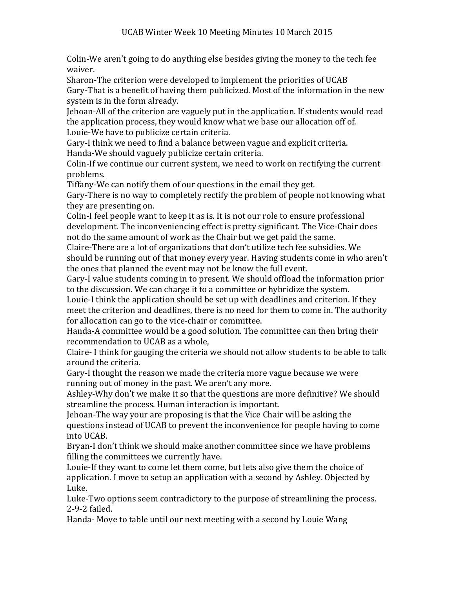Colin-We aren't going to do anything else besides giving the money to the tech fee waiver.

Sharon-The criterion were developed to implement the priorities of UCAB Gary-That is a benefit of having them publicized. Most of the information in the new system is in the form already.

Jehoan-All of the criterion are vaguely put in the application. If students would read the application process, they would know what we base our allocation off of. Louie-We have to publicize certain criteria.

Gary-I think we need to find a balance between vague and explicit criteria.

Handa-We should vaguely publicize certain criteria.

Colin-If we continue our current system, we need to work on rectifying the current problems.

Tiffany-We can notify them of our questions in the email they get.

Gary-There is no way to completely rectify the problem of people not knowing what they are presenting on.

Colin-I feel people want to keep it as is. It is not our role to ensure professional development. The inconveniencing effect is pretty significant. The Vice-Chair does not do the same amount of work as the Chair but we get paid the same.

Claire-There are a lot of organizations that don't utilize tech fee subsidies. We should be running out of that money every year. Having students come in who aren't the ones that planned the event may not be know the full event.

Gary-I value students coming in to present. We should offload the information prior to the discussion. We can charge it to a committee or hybridize the system.

Louie-I think the application should be set up with deadlines and criterion. If they meet the criterion and deadlines, there is no need for them to come in. The authority for allocation can go to the vice-chair or committee.

Handa-A committee would be a good solution. The committee can then bring their recommendation to UCAB as a whole,

Claire- I think for gauging the criteria we should not allow students to be able to talk around the criteria.

Gary-I thought the reason we made the criteria more vague because we were running out of money in the past. We aren't any more.

Ashley-Why don't we make it so that the questions are more definitive? We should streamline the process. Human interaction is important.

Jehoan-The way your are proposing is that the Vice Chair will be asking the questions instead of UCAB to prevent the inconvenience for people having to come into UCAB.

Bryan-I don't think we should make another committee since we have problems filling the committees we currently have.

Louie-If they want to come let them come, but lets also give them the choice of application. I move to setup an application with a second by Ashley. Objected by Luke.

Luke-Two options seem contradictory to the purpose of streamlining the process. 2-9-2 failed.

Handa- Move to table until our next meeting with a second by Louie Wang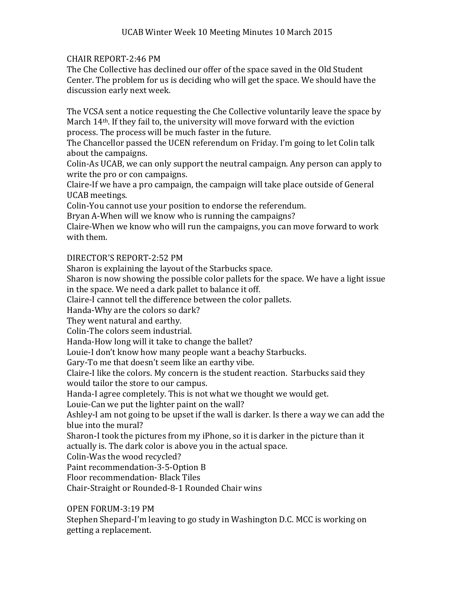## CHAIR REPORT-2:46 PM

The Che Collective has declined our offer of the space saved in the Old Student Center. The problem for us is deciding who will get the space. We should have the discussion early next week.

The VCSA sent a notice requesting the Che Collective voluntarily leave the space by March 14th. If they fail to, the university will move forward with the eviction process. The process will be much faster in the future.

The Chancellor passed the UCEN referendum on Friday. I'm going to let Colin talk about the campaigns.

Colin-As UCAB, we can only support the neutral campaign. Any person can apply to write the pro or con campaigns.

Claire-If we have a pro campaign, the campaign will take place outside of General UCAB meetings.

Colin-You cannot use your position to endorse the referendum.

Bryan A-When will we know who is running the campaigns?

Claire-When we know who will run the campaigns, you can move forward to work with them.

## DIRECTOR'S REPORT-2:52 PM

Sharon is explaining the layout of the Starbucks space.

Sharon is now showing the possible color pallets for the space. We have a light issue in the space. We need a dark pallet to balance it off.

Claire-I cannot tell the difference between the color pallets.

Handa-Why are the colors so dark?

They went natural and earthy.

Colin-The colors seem industrial.

Handa-How long will it take to change the ballet?

Louie-I don't know how many people want a beachy Starbucks.

Gary-To me that doesn't seem like an earthy vibe.

Claire-I like the colors. My concern is the student reaction. Starbucks said they would tailor the store to our campus.

Handa-I agree completely. This is not what we thought we would get.

Louie-Can we put the lighter paint on the wall?

Ashley-I am not going to be upset if the wall is darker. Is there a way we can add the blue into the mural?

Sharon-I took the pictures from my iPhone, so it is darker in the picture than it actually is. The dark color is above you in the actual space.

Colin-Was the wood recycled?

Paint recommendation-3-5-Option B

Floor recommendation- Black Tiles

Chair-Straight or Rounded-8-1 Rounded Chair wins

OPEN FORUM-3:19 PM

Stephen Shepard-I'm leaving to go study in Washington D.C. MCC is working on getting a replacement.